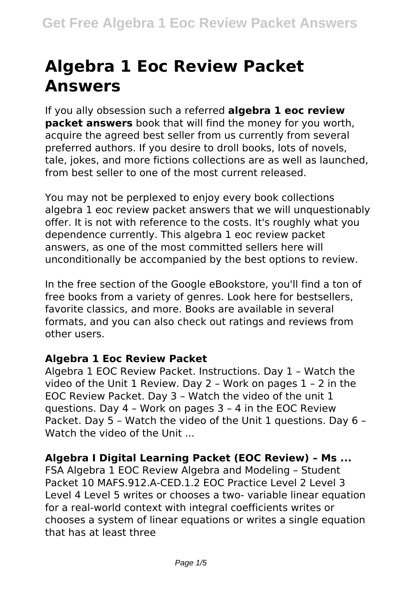# **Algebra 1 Eoc Review Packet Answers**

If you ally obsession such a referred **algebra 1 eoc review packet answers** book that will find the money for you worth, acquire the agreed best seller from us currently from several preferred authors. If you desire to droll books, lots of novels, tale, jokes, and more fictions collections are as well as launched, from best seller to one of the most current released.

You may not be perplexed to enjoy every book collections algebra 1 eoc review packet answers that we will unquestionably offer. It is not with reference to the costs. It's roughly what you dependence currently. This algebra 1 eoc review packet answers, as one of the most committed sellers here will unconditionally be accompanied by the best options to review.

In the free section of the Google eBookstore, you'll find a ton of free books from a variety of genres. Look here for bestsellers, favorite classics, and more. Books are available in several formats, and you can also check out ratings and reviews from other users.

#### **Algebra 1 Eoc Review Packet**

Algebra 1 EOC Review Packet. Instructions. Day 1 – Watch the video of the Unit 1 Review. Day 2 – Work on pages 1 – 2 in the EOC Review Packet. Day 3 – Watch the video of the unit 1 questions. Day 4 – Work on pages 3 – 4 in the EOC Review Packet. Day 5 – Watch the video of the Unit 1 questions. Day 6 – Watch the video of the Unit ...

#### **Algebra I Digital Learning Packet (EOC Review) – Ms ...**

FSA Algebra 1 EOC Review Algebra and Modeling – Student Packet 10 MAFS.912.A-CED.1.2 EOC Practice Level 2 Level 3 Level 4 Level 5 writes or chooses a two- variable linear equation for a real-world context with integral coefficients writes or chooses a system of linear equations or writes a single equation that has at least three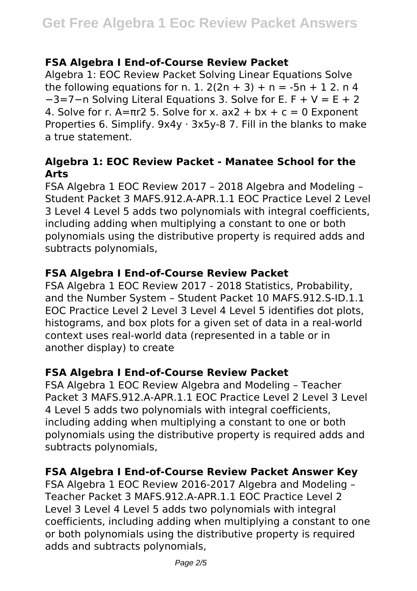#### **FSA Algebra I End-of-Course Review Packet**

Algebra 1: EOC Review Packet Solving Linear Equations Solve the following equations for n. 1.  $2(2n + 3) + n = -5n + 12$ . n 4 −3=7−n Solving Literal Equations 3. Solve for E. F + V = E + 2 4. Solve for r. A=πr2 5. Solve for x. ax2 + bx + c = 0 Exponent Properties 6. Simplify.  $9x4y \cdot 3x5y-8$  7. Fill in the blanks to make a true statement.

## **Algebra 1: EOC Review Packet - Manatee School for the Arts**

FSA Algebra 1 EOC Review 2017 – 2018 Algebra and Modeling – Student Packet 3 MAFS.912.A-APR.1.1 EOC Practice Level 2 Level 3 Level 4 Level 5 adds two polynomials with integral coefficients, including adding when multiplying a constant to one or both polynomials using the distributive property is required adds and subtracts polynomials,

## **FSA Algebra I End-of-Course Review Packet**

FSA Algebra 1 EOC Review 2017 - 2018 Statistics, Probability, and the Number System – Student Packet 10 MAFS.912.S-ID.1.1 EOC Practice Level 2 Level 3 Level 4 Level 5 identifies dot plots, histograms, and box plots for a given set of data in a real-world context uses real-world data (represented in a table or in another display) to create

## **FSA Algebra I End-of-Course Review Packet**

FSA Algebra 1 EOC Review Algebra and Modeling – Teacher Packet 3 MAFS.912.A-APR.1.1 EOC Practice Level 2 Level 3 Level 4 Level 5 adds two polynomials with integral coefficients, including adding when multiplying a constant to one or both polynomials using the distributive property is required adds and subtracts polynomials,

#### **FSA Algebra I End-of-Course Review Packet Answer Key**

FSA Algebra 1 EOC Review 2016-2017 Algebra and Modeling – Teacher Packet 3 MAFS.912.A-APR.1.1 EOC Practice Level 2 Level 3 Level 4 Level 5 adds two polynomials with integral coefficients, including adding when multiplying a constant to one or both polynomials using the distributive property is required adds and subtracts polynomials,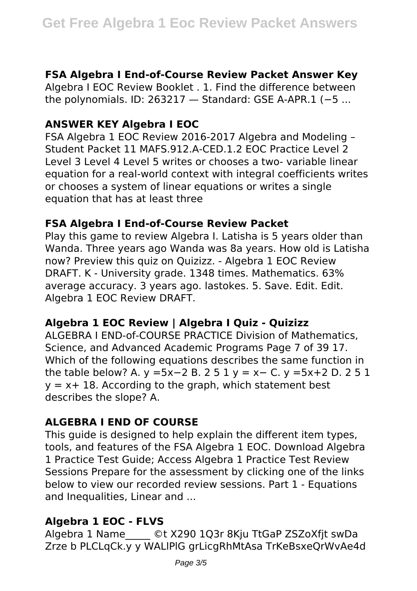## **FSA Algebra I End-of-Course Review Packet Answer Key**

Algebra I EOC Review Booklet . 1. Find the difference between the polynomials. ID: 263217 — Standard: GSE A-APR.1 (−5 ...

## **ANSWER KEY Algebra I EOC**

FSA Algebra 1 EOC Review 2016-2017 Algebra and Modeling – Student Packet 11 MAFS.912.A-CED.1.2 EOC Practice Level 2 Level 3 Level 4 Level 5 writes or chooses a two- variable linear equation for a real-world context with integral coefficients writes or chooses a system of linear equations or writes a single equation that has at least three

## **FSA Algebra I End-of-Course Review Packet**

Play this game to review Algebra I. Latisha is 5 years older than Wanda. Three years ago Wanda was 8a years. How old is Latisha now? Preview this quiz on Quizizz. - Algebra 1 EOC Review DRAFT. K - University grade. 1348 times. Mathematics. 63% average accuracy. 3 years ago. lastokes. 5. Save. Edit. Edit. Algebra 1 EOC Review DRAFT.

## **Algebra 1 EOC Review | Algebra I Quiz - Quizizz**

ALGEBRA I END-of-COURSE PRACTICE Division of Mathematics, Science, and Advanced Academic Programs Page 7 of 39 17. Which of the following equations describes the same function in the table below? A. y =5x-2 B. 2 5 1 y = x- C. y =5x+2 D. 2 5 1  $y = x + 18$ . According to the graph, which statement best describes the slope? A.

# **ALGEBRA I END OF COURSE**

This guide is designed to help explain the different item types, tools, and features of the FSA Algebra 1 EOC. Download Algebra 1 Practice Test Guide; Access Algebra 1 Practice Test Review Sessions Prepare for the assessment by clicking one of the links below to view our recorded review sessions. Part 1 - Equations and Inequalities, Linear and ...

# **Algebra 1 EOC - FLVS**

Algebra 1 Name \_\_\_\_ ©t X290 1Q3r 8Kju TtGaP ZSZoXfjt swDa Zrze b PLCLqCk.y y WALlPlG grLicgRhMtAsa TrKeBsxeQrWvAe4d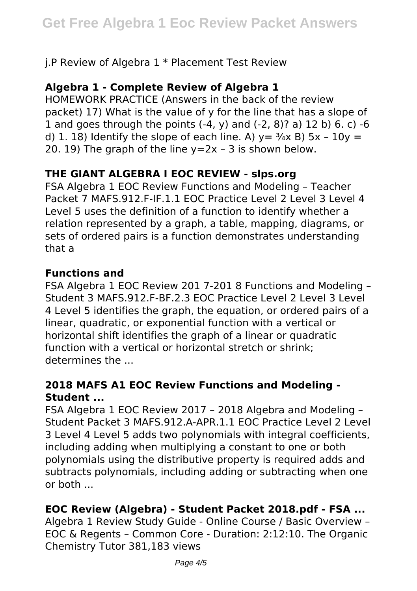j.P Review of Algebra 1 \* Placement Test Review

# **Algebra 1 - Complete Review of Algebra 1**

HOMEWORK PRACTICE (Answers in the back of the review packet) 17) What is the value of y for the line that has a slope of 1 and goes through the points  $(-4, y)$  and  $(-2, 8)$ ? a) 12 b) 6. c)  $-6$ d) 1. 18) Identify the slope of each line. A)  $y = \frac{3}{4}x$  B)  $5x - 10y =$ 20. 19) The graph of the line  $v=2x - 3$  is shown below.

## **THE GIANT ALGEBRA I EOC REVIEW - slps.org**

FSA Algebra 1 EOC Review Functions and Modeling – Teacher Packet 7 MAFS.912.F-IF.1.1 EOC Practice Level 2 Level 3 Level 4 Level 5 uses the definition of a function to identify whether a relation represented by a graph, a table, mapping, diagrams, or sets of ordered pairs is a function demonstrates understanding that a

## **Functions and**

FSA Algebra 1 EOC Review 201 7-201 8 Functions and Modeling – Student 3 MAFS.912.F-BF.2.3 EOC Practice Level 2 Level 3 Level 4 Level 5 identifies the graph, the equation, or ordered pairs of a linear, quadratic, or exponential function with a vertical or horizontal shift identifies the graph of a linear or quadratic function with a vertical or horizontal stretch or shrink; determines the ...

## **2018 MAFS A1 EOC Review Functions and Modeling - Student ...**

FSA Algebra 1 EOC Review 2017 – 2018 Algebra and Modeling – Student Packet 3 MAFS.912.A-APR.1.1 EOC Practice Level 2 Level 3 Level 4 Level 5 adds two polynomials with integral coefficients, including adding when multiplying a constant to one or both polynomials using the distributive property is required adds and subtracts polynomials, including adding or subtracting when one or both ...

# **EOC Review (Algebra) - Student Packet 2018.pdf - FSA ...**

Algebra 1 Review Study Guide - Online Course / Basic Overview – EOC & Regents – Common Core - Duration: 2:12:10. The Organic Chemistry Tutor 381,183 views